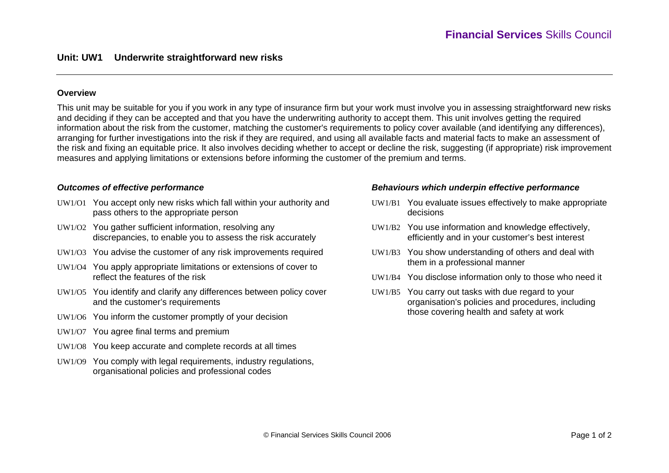## **Overview**

This unit may be suitable for you if you work in any type of insurance firm but your work must involve you in assessing straightforward new risks and deciding if they can be accepted and that you have the underwriting authority to accept them. This unit involves getting the required information about the risk from the customer, matching the customer's requirements to policy cover available (and identifying any differences), arranging for further investigations into the risk if they are required, and using all available facts and material facts to make an assessment of the risk and fixing an equitable price. It also involves deciding whether to accept or decline the risk, suggesting (if appropriate) risk improvement measures and applying limitations or extensions before informing the customer of the premium and terms.

#### *Outcomes of effective performance*

- UW1/O1 You accept only new risks which fall within your authority and pass others to the appropriate person
- UW1/O2 You gather sufficient information, resolving any discrepancies, to enable you to assess the risk accurately
- UW1/O3 You advise the customer of any risk improvements required
- UW1/O4 You apply appropriate limitations or extensions of cover to reflect the features of the risk
- UW1/O5 You identify and clarify any differences between policy cover and the customer's requirements
- UW1/O6 You inform the customer promptly of your decision
- UW1/O7 You agree final terms and premium
- UW1/O8 You keep accurate and complete records at all times
- UW1/O9 You comply with legal requirements, industry regulations, organisational policies and professional codes

### *Behaviours which underpin effective performance*

- UW1/B1 You evaluate issues effectively to make appropriate decisions
- UW1/B2 You use information and knowledge effectively, efficiently and in your customer's best interest
- UW1/B3 You show understanding of others and deal with them in a professional manner
- UW1/B4 You disclose information only to those who need it
- UW1/B5 You carry out tasks with due regard to your organisation's policies and procedures, including those covering health and safety at work